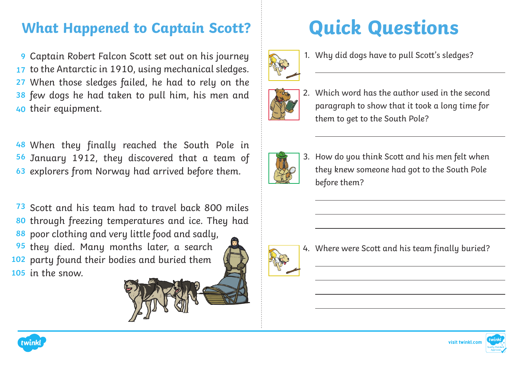## **What Happened to Captain Scott?**

Captain Robert Falcon Scott set out on his journey **9** 17 to the Antarctic in 1910, using mechanical sledges. When those sledges failed, he had to rely on the **27** few dogs he had taken to pull him, his men and **38** 40 their equipment.

When they finally reached the South Pole in **48** 56 January 1912, they discovered that a team of 63 explorers from Norway had arrived before them.

73 Scott and his team had to travel back 800 miles 80 through freezing temperatures and ice. They had 88 poor clothing and very little food and sadly, **95** they died. Many months later, a search 102 party found their bodies and buried them 105 in the snow.

**Quick Questions**



1. Why did dogs have to pull Scott's sledges?



2. Which word has the author used in the second paragraph to show that it took a long time for them to get to the South Pole?



3. How do you think Scott and his men felt when they knew someone had got to the South Pole before them?



 $\overline{a}$ 

4. Where were Scott and his team finally buried?